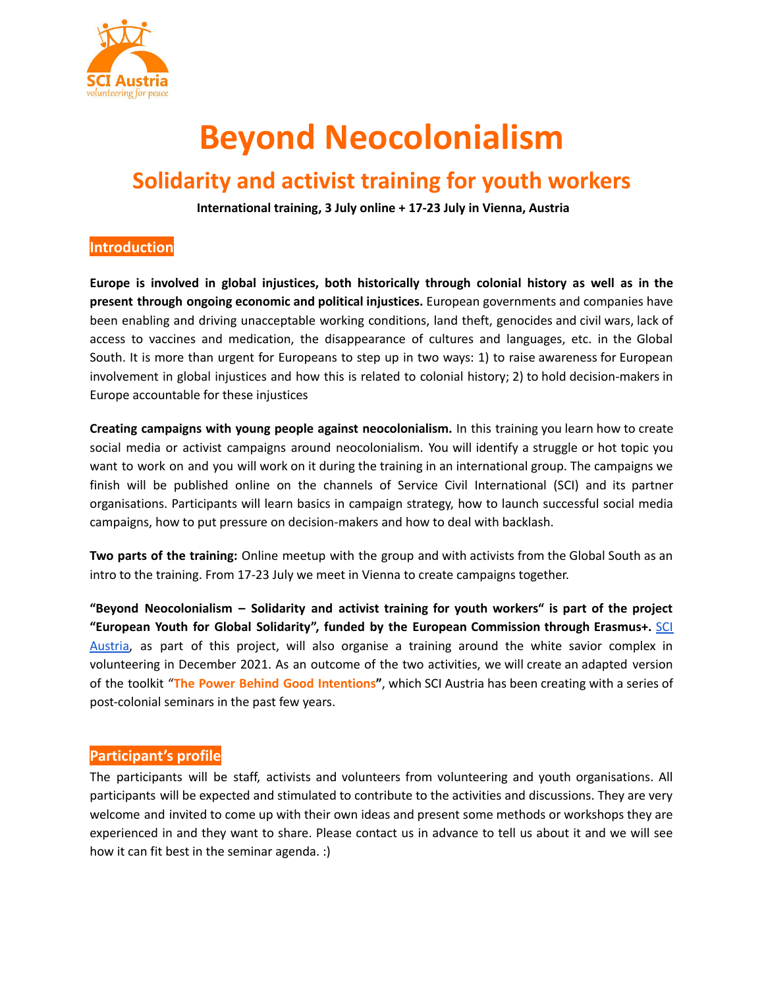

# **Beyond Neocolonialism**

# **Solidarity and activist training for youth workers**

**International training, 3 July online + 17-23 July in Vienna, Austria**

#### **Introduction**

**Europe is involved in global injustices, both historically through colonial history as well as in the present through ongoing economic and political injustices.** European governments and companies have been enabling and driving unacceptable working conditions, land theft, genocides and civil wars, lack of access to vaccines and medication, the disappearance of cultures and languages, etc. in the Global South. It is more than urgent for Europeans to step up in two ways: 1) to raise awareness for European involvement in global injustices and how this is related to colonial history; 2) to hold decision-makers in Europe accountable for these injustices

**Creating campaigns with young people against neocolonialism.** In this training you learn how to create social media or activist campaigns around neocolonialism. You will identify a struggle or hot topic you want to work on and you will work on it during the training in an international group. The campaigns we finish will be published online on the channels of Service Civil International (SCI) and its partner organisations. Participants will learn basics in campaign strategy, how to launch successful social media campaigns, how to put pressure on decision-makers and how to deal with backlash.

**Two parts of the training:** Online meetup with the group and with activists from the Global South as an intro to the training. From 17-23 July we meet in Vienna to create campaigns together.

**"Beyond Neocolonialism – Solidarity and activist training for youth workers" is part of the project "European Youth for Global Solidarity", funded by the European Commission through Erasmus+.** [SCI](https://www.sciaustria.org/) [Austria,](https://www.sciaustria.org/) as part of this project, will also organise a training around the white savior complex in volunteering in December 2021. As an outcome of the two activities, we will create an adapted version of the toolkit "**The Power Behind Good [Intentions](https://sci.ngo/resource/picturing-the-global-south-the-power-behind-good-intentions/)"**, which SCI Austria has been creating with a series of post-colonial seminars in the past few years.

#### **Participant's profile**

The participants will be staff, activists and volunteers from volunteering and youth organisations. All participants will be expected and stimulated to contribute to the activities and discussions. They are very welcome and invited to come up with their own ideas and present some methods or workshops they are experienced in and they want to share. Please contact us in advance to tell us about it and we will see how it can fit best in the seminar agenda. :)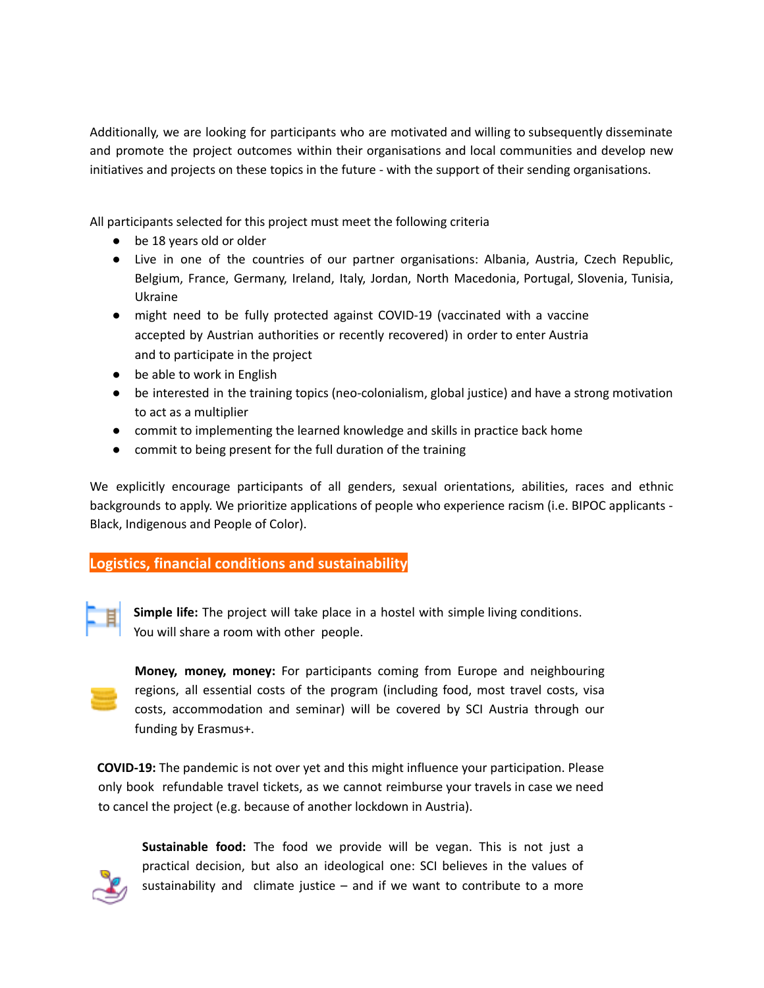Additionally, we are looking for participants who are motivated and willing to subsequently disseminate and promote the project outcomes within their organisations and local communities and develop new initiatives and projects on these topics in the future - with the support of their sending organisations.

All participants selected for this project must meet the following criteria

- be 18 years old or older
- Live in one of the countries of our partner organisations: Albania, Austria, Czech Republic, Belgium, France, Germany, Ireland, Italy, Jordan, North Macedonia, Portugal, Slovenia, Tunisia, Ukraine
- might need to be fully protected against COVID-19 (vaccinated with a vaccine accepted by Austrian authorities or recently recovered) in order to enter Austria and to participate in the project
- be able to work in English
- be interested in the training topics (neo-colonialism, global justice) and have a strong motivation to act as a multiplier
- commit to implementing the learned knowledge and skills in practice back home
- commit to being present for the full duration of the training

We explicitly encourage participants of all genders, sexual orientations, abilities, races and ethnic backgrounds to apply. We prioritize applications of people who experience racism (i.e. BIPOC applicants - Black, Indigenous and People of Color).

## **Logistics, financial conditions and sustainability**



**Simple life:** The project will take place in a hostel with simple living conditions. You will share a room with other people.

**Money, money, money:** For participants coming from Europe and neighbouring regions, all essential costs of the program (including food, most travel costs, visa costs, accommodation and seminar) will be covered by SCI Austria through our funding by Erasmus+.

**COVID-19:** The pandemic is not over yet and this might influence your participation. Please only book refundable travel tickets, as we cannot reimburse your travels in case we need to cancel the project (e.g. because of another lockdown in Austria).



**Sustainable food:** The food we provide will be vegan. This is not just a practical decision, but also an ideological one: SCI believes in the values of sustainability and climate justice  $-$  and if we want to contribute to a more